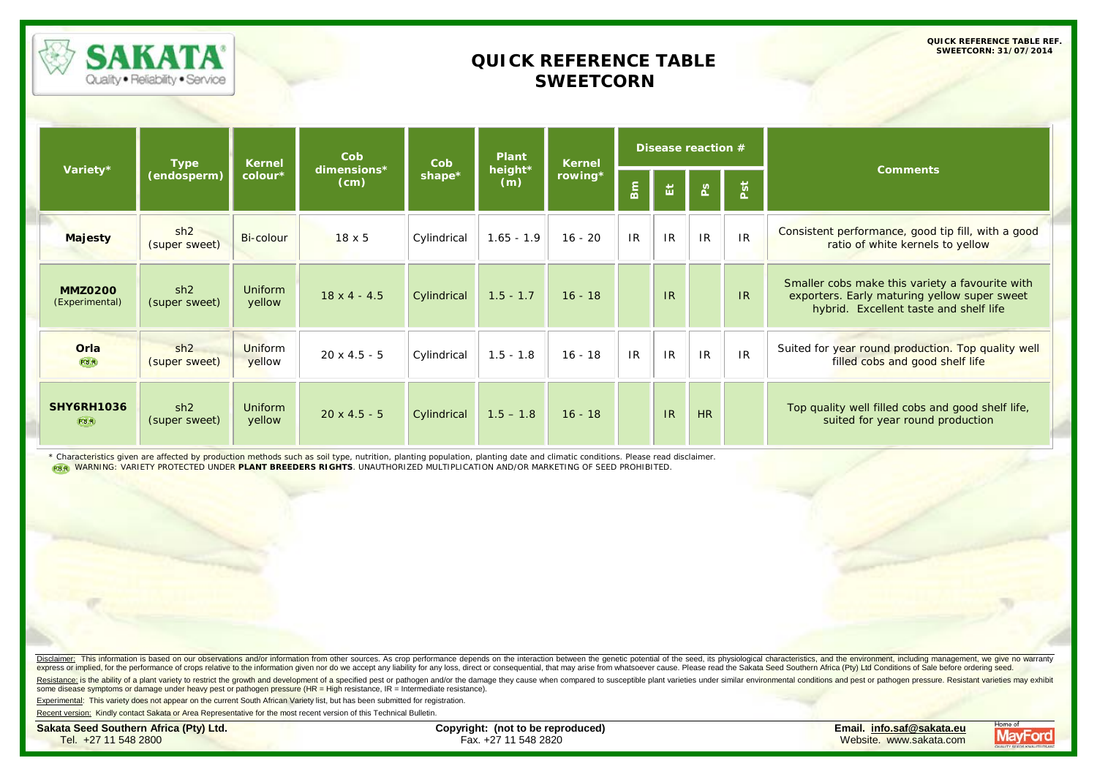

## **QUICK REFERENCE TABLE SWEETCORN**

**QUICK REFERENCE TABLE REF. SWEETCORN: 31/07/2014**

|                                    | <b>Type</b>          | <b>Kernel</b>            | Cob                 | Cob         | <b>Plant</b>   | <b>Kernel</b><br>rowing* | Disease reaction # |    |               |     |                                                                                                                                           |
|------------------------------------|----------------------|--------------------------|---------------------|-------------|----------------|--------------------------|--------------------|----|---------------|-----|-------------------------------------------------------------------------------------------------------------------------------------------|
| Variety*                           | (endosperm)          | colour*                  | dimensions*<br>(cm) | shape*      | height*<br>(m) |                          | <b>Bm</b>          | 冨  | $\frac{8}{2}$ | Pst | <b>Comments</b>                                                                                                                           |
| <b>Majesty</b>                     | sh2<br>(super sweet) | Bi-colour                | $18 \times 5$       | Cylindrical | $1.65 - 1.9$   | $16 - 20$                | IR                 | IR | IR            | IR  | Consistent performance, good tip fill, with a good<br>ratio of white kernels to yellow                                                    |
| <b>MMZ0200</b><br>(Experimental)   | sh2<br>(super sweet) | <b>Uniform</b><br>yellow | $18 \times 4 - 4.5$ | Cylindrical | $1.5 - 1.7$    | $16 - 18$                |                    | IR |               | IR  | Smaller cobs make this variety a favourite with<br>exporters. Early maturing yellow super sweet<br>hybrid. Excellent taste and shelf life |
| Orla<br>P.B.R.                     | sh2<br>(super sweet) | Uniform<br>yellow        | $20 \times 4.5 - 5$ | Cylindrical | $1.5 - 1.8$    | $16 - 18$                | IR                 | IR | IR            | IR  | Suited for year round production. Top quality well<br>filled cobs and good shelf life                                                     |
| <b>SHY6RH1036</b><br><b>P.B.R.</b> | sh2<br>(super sweet) | <b>Uniform</b><br>yellow | $20 \times 4.5 - 5$ | Cylindrical | $1.5 - 1.8$    | $16 - 18$                |                    | IR | HR            |     | Top quality well filled cobs and good shelf life,<br>suited for year round production                                                     |

\* Characteristics given are affected by production methods such as soil type, nutrition, planting population, planting date and climatic conditions. Please read disclaimer. WARNING: VARIETY PROTECTED UNDER **PLANT BREEDERS RIGHTS**. UNAUTHORIZED MULTIPLICATION AND/OR MARKETING OF SEED PROHIBITED.

Disclaimer: This information is based on our observations and/or information from other sources. As crop performance depends on the interaction between the genetic potential of the seed, its physiological characteristics, express or implied, for the performance of crops relative to the information given nor do we accept any liability for any loss, direct or consequential, that may arise from whatsoever cause. Please read the Sakata Seed Sou

Resistance: is the ability of a plant variety to restrict the growth and development of a specified pest or pathogen and/or the damage they cause when compared to susceptible plant varieties under similar environmental con some disease symptoms or damage under heavy pest or pathogen pressure (HR = High resistance, IR = Intermediate resistance).

Experimental: This variety does not appear on the current South African Variety list, but has been submitted for registration.

Recent version: Kindly contact Sakata or Area Representative for the most recent version of this Technical Bulletin.

**Sakata Seed Southern Africa (Pty) Ltd. Copyright: (not to be reproduced) Email. [info.saf@sakata.eu](mailto:info.saf@sakata.eu)**

Tel. +27 11 548 2800 Fax. +27 11 548 2820 Website. [www.sakata.com](mailto:tech@mayford.co.za)